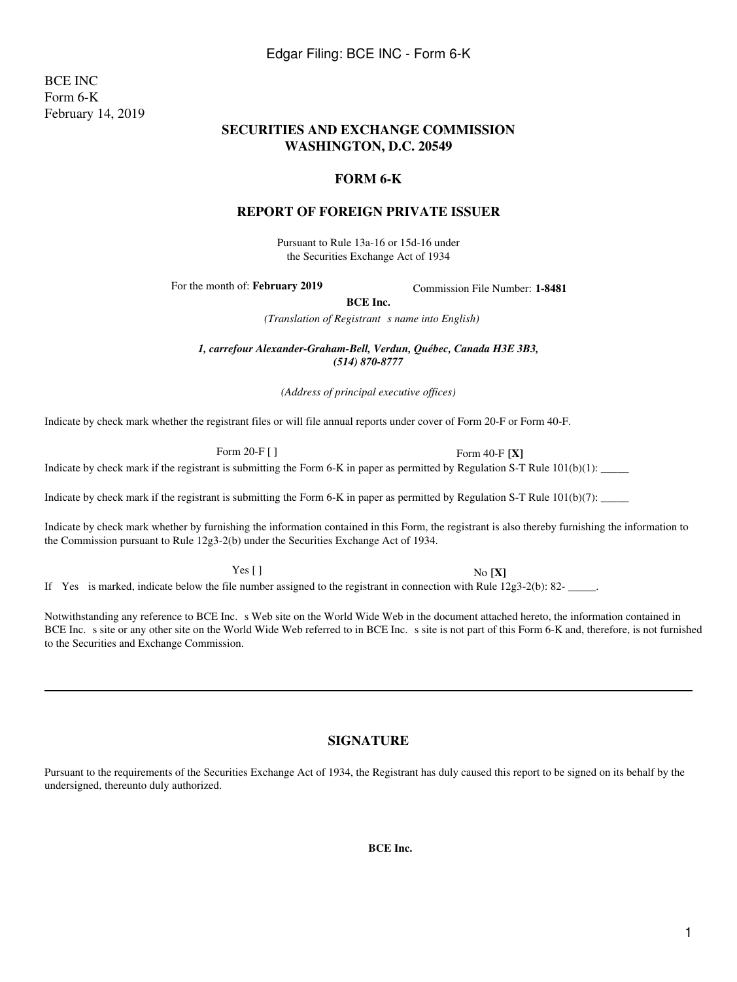Indicate by check mark whether the registrant files or will file annual reports under cover of Form 20-F or Form 40-F.

Form 20-F [ ] Form 40-F **[X]**

Indicate by check mark if the registrant is submitting the Form 6-K in paper as permitted by Regulation S-T Rule  $101(b)(1)$ :

Indicate by check mark if the registrant is submitting the Form 6-K in paper as permitted by Regulation S-T Rule  $101(b)(7)$ :

Indicate by check mark whether by furnishing the information contained in this Form, the registrant is also thereby furnishing the information to the Commission pursuant to Rule 12g3-2(b) under the Securities Exchange Act of 1934.

Yes [ ] No **[X]**

If Yes is marked, indicate below the file number assigned to the registrant in connection with Rule 12g3-2(b): 82-

Notwithstanding any reference to BCE Inc. s Web site on the World Wide Web in the document attached hereto, the information contained in BCE Inc. s site or any other site on the World Wide Web referred to in BCE Inc. s site is not part of this Form 6-K and, therefore, is not furnished to the Securities and Exchange Commission.

# **SIGNATURE**

Pursuant to the requirements of the Securities Exchange Act of 1934, the Registrant has duly caused this report to be signed on its behalf by the undersigned, thereunto duly authorized.

**BCE Inc.**

BCE INC Form 6-K February 14, 2019

#### **SECURITIES AND EXCHANGE COMMISSION WASHINGTON, D.C. 20549**

#### **FORM 6-K**

### **REPORT OF FOREIGN PRIVATE ISSUER**

Pursuant to Rule 13a-16 or 15d-16 under the Securities Exchange Act of 1934

For the month of: **February 2019** Commission File Number: **1-8481** 

**BCE Inc.**

*(Translation of Registrant s name into English)* 

*1, carrefour Alexander-Graham-Bell, Verdun, Québec, Canada H3E 3B3, (514) 870-8777*

*(Address of principal executive offices)*